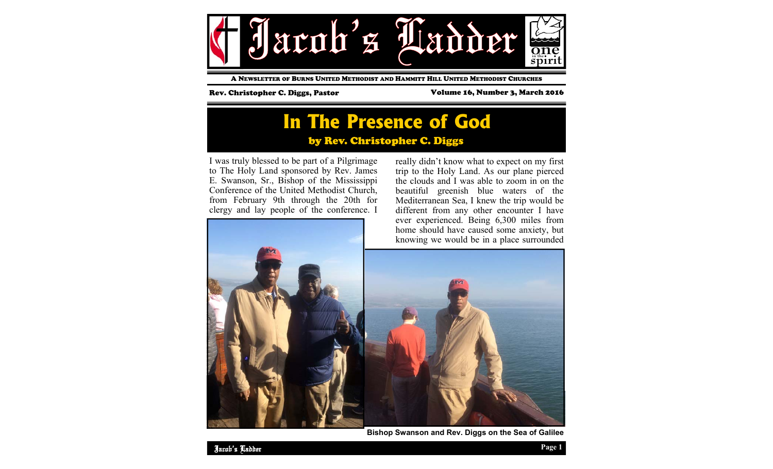

A NEWSLETTER OF BURNS UNITED METHODIST AND HAMMITT HILL UNITED METHODIST CHURCHES

### Rev. Christopher C. Diggs, Pastor Volume 16, Number 3, March 2016

# **In The Presence of God**  by Rev. Christopher C. Diggs

I was truly blessed to be part of a Pilgrimage to The Holy Land sponsored by Rev. James E. Swanson, Sr., Bishop of the Mississippi Conference of the United Methodist Church, from February 9th through the 20th for clergy and lay people of the conference. I



really didn't know what to expect on my first trip to the Holy Land. As our plane pierced the clouds and I was able to zoom in on the beautiful greenish blue waters of the Mediterranean Sea, I knew the trip would be different from any other encounter I have ever experienced. Being 6,300 miles from home should have caused some anxiety, but knowing we would be in a place surrounded



**Bishop Swanson and Rev. Diggs on the Sea of Galilee**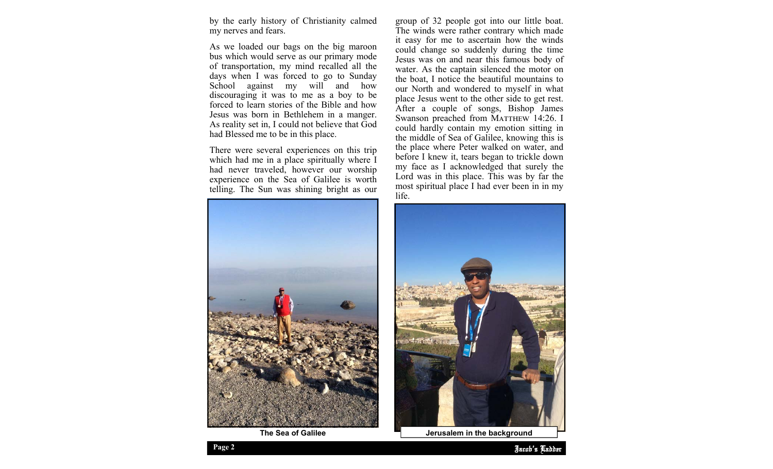by the early history of Christianity calmed my nerves and fears.

As we loaded our bags on the big maroon bus which would serve as our primary mode of transportation, my mind recalled all the days when I was forced to go to Sunday School against my will and how discouraging it was to me as a boy to be forced to learn stories of the Bible and how Jesus was born in Bethlehem in a manger. As reality set in, I could not believe that God had Blessed me to be in this place.

There were several experiences on this trip which had me in a place spiritually where I had never traveled, however our worship experience on the Sea of Galilee is worth telling. The Sun was shining bright as our



group of 32 people got into our little boat. The winds were rather contrary which made it easy for me to ascertain how the winds could change so suddenly during the time Jesus was on and near this famous body of water. As the captain silenced the motor on the boat, I notice the beautiful mountains to our North and wondered to myself in what place Jesus went to the other side to get rest. After a couple of songs, Bishop James Swanson preached from MATTHEW 14:26. I could hardly contain my emotion sitting in the middle of Sea of Galilee, knowing this is the place where Peter walked on water, and before I knew it, tears began to trickle down my face as I acknowledged that surely the Lord was in this place. This was by far the most spiritual place I had ever been in in my life.



**The Sea of Galilee**  $\blacksquare$  Jerusalem in the background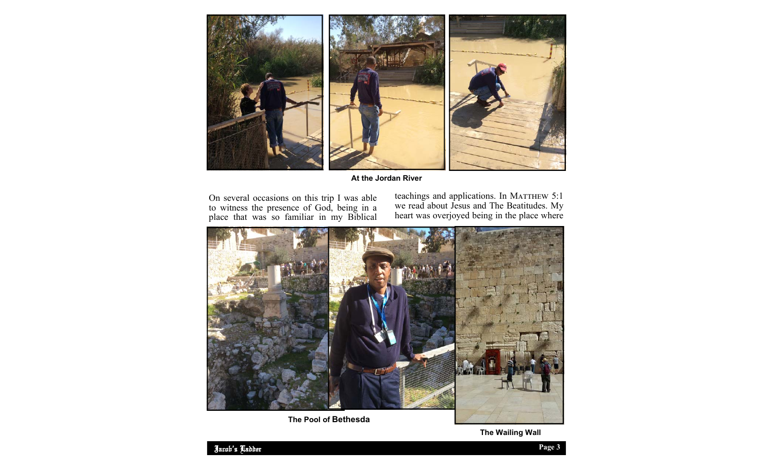

**At the Jordan River** 

On several occasions on this trip I was able to witness the presence of God, being in a place that was so familiar in my Biblical teachings and applications. In MATTHEW 5:1 we read about Jesus and The Beatitudes. My heart was overjoyed being in the place where



**The Pool of Bethesda** 

**The Wailing Wall**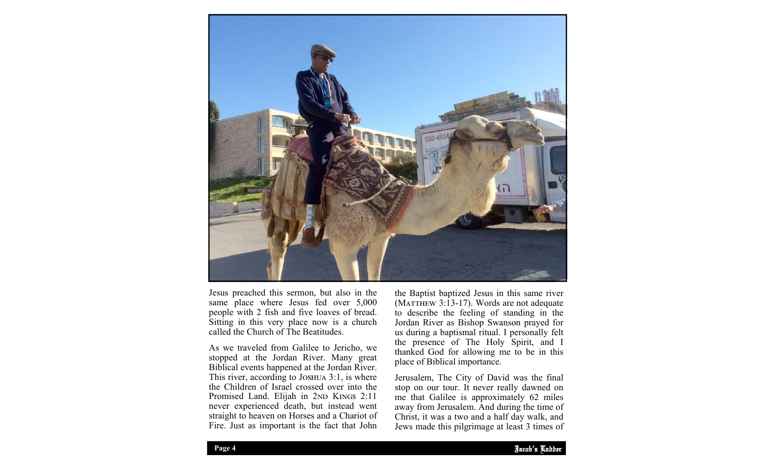

Jesus preached this sermon, but also in the same place where Jesus fed over 5,000 people with 2 fish and five loaves of bread. Sitting in this very place now is a church called the Church of The Beatitudes.

As we traveled from Galilee to Jericho, we stopped at the Jordan River. Many great Biblical events happened at the Jordan River. This river, according to JOSHUA  $3:1$ , is where the Children of Israel crossed over into the Promised Land. Elijah in 2ND KINGS 2:11 never experienced death, but instead went straight to heaven on Horses and a Chariot of Fire. Just as important is the fact that John

the Baptist baptized Jesus in this same river (MATTHEW  $3:13-17$ ). Words are not adequate to describe the feeling of standing in the Jordan River as Bishop Swanson prayed for us during a baptismal ritual. I personally felt the presence of The Holy Spirit, and I thanked God for allowing me to be in this place of Biblical importance.

away from Jerusalem. And during the time of Jerusalem, The City of David was the final stop on our tour. It never really dawned on me that Galilee is approximately 62 miles Christ, it was a two and a half day walk, and Jews made this pilgrimage at least 3 times of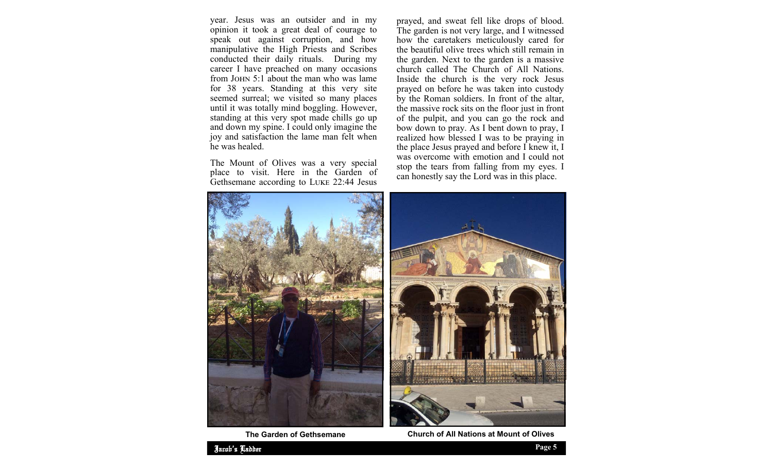year. Jesus was an outsider and in my opinion it took a great deal of courage to speak out against corruption, and how manipulative the High Priests and Scribes conducted their daily rituals. During my career I have preached on many occasions from JOHN 5:1 about the man who was lame for 38 years. Standing at this very site seemed surreal; we visited so many places until it was totally mind boggling. However, standing at this very spot made chills go up and down my spine. I could only imagine the joy and satisfaction the lame man felt when he was healed.

The Mount of Olives was a very special place to visit. Here in the Garden of Gethsemane according to LUKE 22:44 Jesus

prayed, and sweat fell like drops of blood. The garden is not very large, and I witnessed how the caretakers meticulously cared for the beautiful olive trees which still remain in the garden. Next to the garden is a massive church called The Church of All Nations. Inside the church is the very rock Jesus prayed on before he was taken into custody by the Roman soldiers. In front of the altar, the massive rock sits on the floor just in front of the pulpit, and you can go the rock and bow down to pray. As I bent down to pray, I realized how blessed I was to be praying in the place Jesus prayed and before I knew it, I was overcome with emotion and I could not stop the tears from falling from my eyes. I can honestly say the Lord was in this place.





**The Garden of Gethsemane Church of All Nations at Mount of Olives**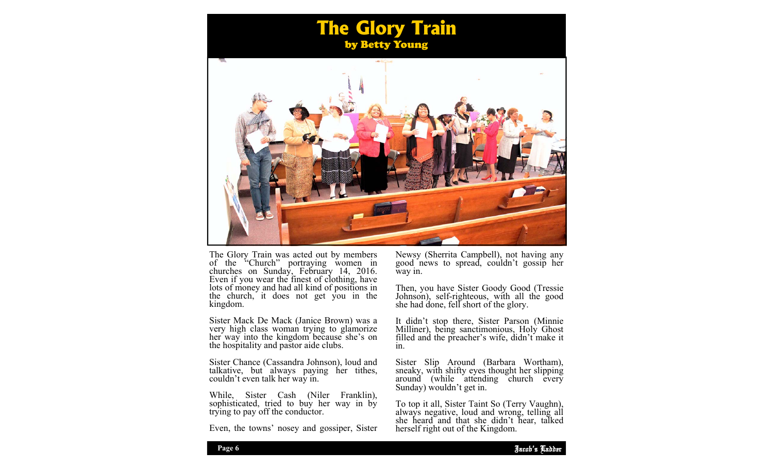## **The Glory Train**  by Betty Young



The Glory Train was acted out by members<br>of the "Church" portraying women in<br>churches on Sunday, February 14, 2016.<br>Even if you wear the finest of clothing, have<br>lots of money and had all kind of positions in<br>the church, i

Sister Mack De Mack (Janice Brown) was a very high class woman trying to glamorize her way into the kingdom because she's on the hospitality and pastor aide clubs.

Sister Chance (Cassandra Johnson), loud and talkative, but always paying her tithes, couldn't even talk her way in.

While, Sister Cash (Niler Franklin), sophisticated, tried to buy her way in by trying to pay off the conductor.

Even, the towns' nosey and gossiper, Sister

Newsy (Sherrita Campbell), not having any good news to spread, couldn't gossip her way in.

Then, you have Sister Goody Good (Tressie Johnson), self-righteous, with all the good she had done, fell short of the glory.

It didn't stop there, Sister Parson (Minnie Milliner), being sanctimonious, Holy Ghost filled and the preacher's wife, didn't make it in.

Sister Slip Around (Barbara Wortham), sneaky, with shifty eyes thought her slipping around (while attending church every Sunday) wouldn't get in.

To top it all, Sister Taint So (Terry Vaughn), always negative, loud and wrong, telling all she heard and that she didn't hear, talked herself right out of the Kingdom.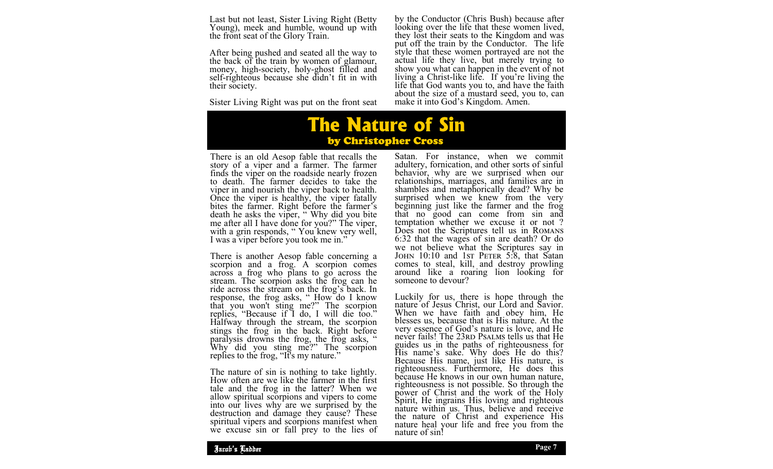Last but not least, Sister Living Right (Betty Young), meek and humble, wound up with the front seat of the Glory Train.

After being pushed and seated all the way to the back of the train by women of glamour, money, high-society, holy-ghost filled and self-righteous because she didn't fit in with their society.

Sister Living Right was put on the front seat

by the Conductor (Chris Bush) because after<br>looking over the life that these women lived,<br>they lost their seats to the Kingdom and was<br>put off the train by the Conductor. The life<br>style that these women portrayed are not t

**The Nature of Sin**  by Christopher Cross

There is an old Aesop fable that recalls the story of a viper and a farmer. The farmer finds the viper on the roadside nearly frozen to death. The farmer decides to take the viper in and nourish the viper back to health.<br>Once the viper is healthy, the viper fatally<br>bites the farmer. Right before the farmer's<br>death he asks the viper, "Why did you bite<br>me after all I have done for you?" The vipe

There is another Aesop fable concerning a<br>scorpion and a frog. A scorpion comes<br>across a frog who plans to go across the<br>stream. The scorpion asks the frog can he<br>ride across the stream on the frog's back. In<br>response, the

The nature of sin is nothing to take lightly. How often are we like the farmer in the first tale and the frog in the latter? When we<br>allow spiritual scorpions and vipers to come<br>into our lives why are we surprised by the<br>destruction and damage they cause? These<br>spiritual vipers and scorpions manifest when<br>we excu Satan. For instance, when we commit adultery, fornication, and other sorts of sinful<br>behavior, why are we surprised when our<br>relationships, marriages, and families are in<br>shambles and metaphorically dead? Why be<br>surprised when we knew from the very<br>beginning comes to steal, kill, and destroy prowling around like a roaring lion looking for someone to devour?

Luckily for us, there is hope through the nature of Jesus Christ, our Lord and Savior. When we have faith and obey him, He blesses us, because that is His nature. At the very essence of God's nature is love, and He never fails! The 23RD PSALMS tells us that He guides us in the paths of righteousness for His name's sake. Why does He do this? Because His name, just like His nature, is righteousness. Furthermore, He does this because He knows in our own human nature, righteousness is not possible. So through the power of Christ and the work of the Holy Spirit, He ingrains His loving and righteous nature within us. Thus, believe and receive the nature of Christ and experience His nature heal your life and free you from the nature of sin!